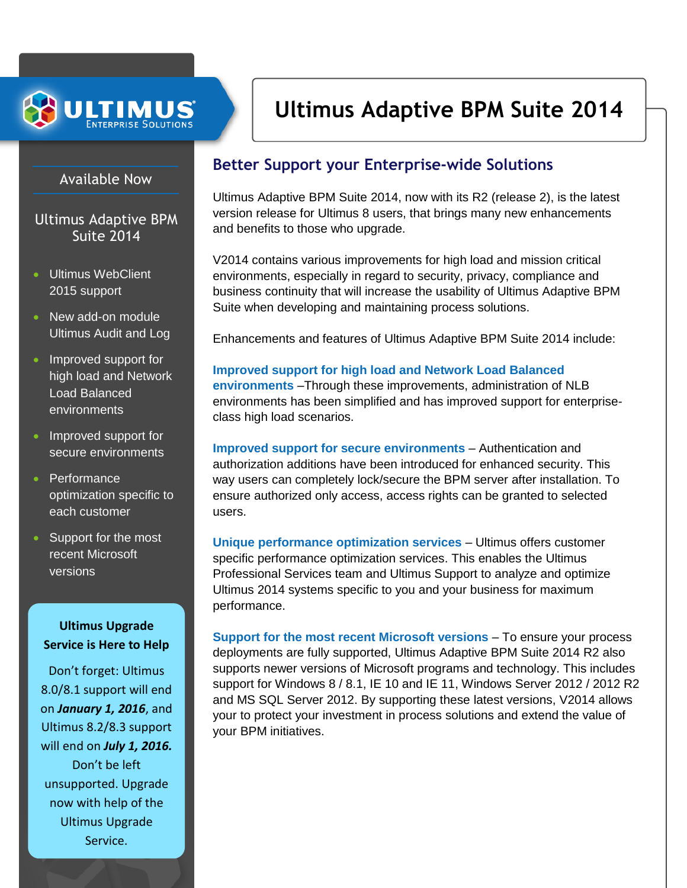

# **Ultimus Adaptive BPM Suite 2014**

### Available Now

## Ultimus Adaptive BPM Suite 2014

- Ultimus WebClient 2015 support
- New add-on module Ultimus Audit and Log
- Improved support for high load and Network Load Balanced environments
- Improved support for secure environments
- Performance optimization specific to each customer
- Support for the most recent Microsoft versions

### **Ultimus Upgrade Service is Here to Help**

Don't forget: Ultimus 8.0/8.1 support will end on *January 1, 2016*, and Ultimus 8.2/8.3 support will end on *July 1, 2016.* Don't be left unsupported. Upgrade now with help of the Ultimus Upgrade Service.

## **Better Support your Enterprise-wide Solutions**

Ultimus Adaptive BPM Suite 2014, now with its R2 (release 2), is the latest version release for Ultimus 8 users, that brings many new enhancements and benefits to those who upgrade.

V2014 contains various improvements for high load and mission critical environments, especially in regard to security, privacy, compliance and business continuity that will increase the usability of Ultimus Adaptive BPM Suite when developing and maintaining process solutions.

Enhancements and features of Ultimus Adaptive BPM Suite 2014 include:

**Improved support for high load and Network Load Balanced environments** –Through these improvements, administration of NLB environments has been simplified and has improved support for enterpriseclass high load scenarios.

**Improved support for secure environments** – Authentication and authorization additions have been introduced for enhanced security. This way users can completely lock/secure the BPM server after installation. To ensure authorized only access, access rights can be granted to selected users.

**Unique performance optimization services** – Ultimus offers customer specific performance optimization services. This enables the Ultimus Professional Services team and Ultimus Support to analyze and optimize Ultimus 2014 systems specific to you and your business for maximum performance.

**Support for the most recent Microsoft versions** – To ensure your process deployments are fully supported, Ultimus Adaptive BPM Suite 2014 R2 also supports newer versions of Microsoft programs and technology. This includes support for Windows 8 / 8.1, IE 10 and IE 11, Windows Server 2012 / 2012 R2 and MS SQL Server 2012. By supporting these latest versions, V2014 allows your to protect your investment in process solutions and extend the value of your BPM initiatives.